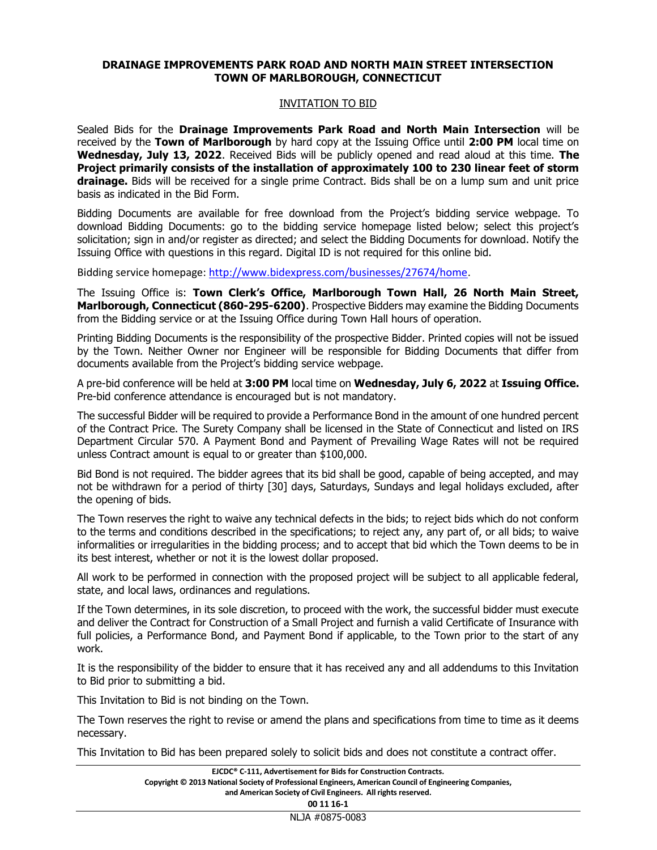## DRAINAGE IMPROVEMENTS PARK ROAD AND NORTH MAIN STREET INTERSECTION TOWN OF MARLBOROUGH, CONNECTICUT

## INVITATION TO BID

Sealed Bids for the Drainage Improvements Park Road and North Main Intersection will be received by the Town of Marlborough by hard copy at the Issuing Office until 2:00 PM local time on Wednesday, July 13, 2022. Received Bids will be publicly opened and read aloud at this time. The Project primarily consists of the installation of approximately 100 to 230 linear feet of storm drainage. Bids will be received for a single prime Contract. Bids shall be on a lump sum and unit price basis as indicated in the Bid Form.

Bidding Documents are available for free download from the Project's bidding service webpage. To download Bidding Documents: go to the bidding service homepage listed below; select this project's solicitation; sign in and/or register as directed; and select the Bidding Documents for download. Notify the Issuing Office with questions in this regard. Digital ID is not required for this online bid.

Bidding service homepage: http://www.bidexpress.com/businesses/27674/home.

The Issuing Office is: Town Clerk's Office, Marlborough Town Hall, 26 North Main Street, Marlborough, Connecticut (860-295-6200). Prospective Bidders may examine the Bidding Documents from the Bidding service or at the Issuing Office during Town Hall hours of operation.

Printing Bidding Documents is the responsibility of the prospective Bidder. Printed copies will not be issued by the Town. Neither Owner nor Engineer will be responsible for Bidding Documents that differ from documents available from the Project's bidding service webpage.

A pre-bid conference will be held at 3:00 PM local time on Wednesday, July 6, 2022 at Issuing Office. Pre-bid conference attendance is encouraged but is not mandatory.

The successful Bidder will be required to provide a Performance Bond in the amount of one hundred percent of the Contract Price. The Surety Company shall be licensed in the State of Connecticut and listed on IRS Department Circular 570. A Payment Bond and Payment of Prevailing Wage Rates will not be required unless Contract amount is equal to or greater than \$100,000.

Bid Bond is not required. The bidder agrees that its bid shall be good, capable of being accepted, and may not be withdrawn for a period of thirty [30] days, Saturdays, Sundays and legal holidays excluded, after the opening of bids.

The Town reserves the right to waive any technical defects in the bids; to reject bids which do not conform to the terms and conditions described in the specifications; to reject any, any part of, or all bids; to waive informalities or irregularities in the bidding process; and to accept that bid which the Town deems to be in its best interest, whether or not it is the lowest dollar proposed.

All work to be performed in connection with the proposed project will be subject to all applicable federal, state, and local laws, ordinances and regulations.

If the Town determines, in its sole discretion, to proceed with the work, the successful bidder must execute and deliver the Contract for Construction of a Small Project and furnish a valid Certificate of Insurance with full policies, a Performance Bond, and Payment Bond if applicable, to the Town prior to the start of any work.

It is the responsibility of the bidder to ensure that it has received any and all addendums to this Invitation to Bid prior to submitting a bid.

This Invitation to Bid is not binding on the Town.

The Town reserves the right to revise or amend the plans and specifications from time to time as it deems necessary.

This Invitation to Bid has been prepared solely to solicit bids and does not constitute a contract offer.

| EJCDC <sup>®</sup> C-111. Advertisement for Bids for Construction Contracts.                            |
|---------------------------------------------------------------------------------------------------------|
| Copyright © 2013 National Society of Professional Engineers, American Council of Engineering Companies, |
| and American Society of Civil Engineers. All rights reserved.                                           |

00 11 16-1

NLJA #0875-0083